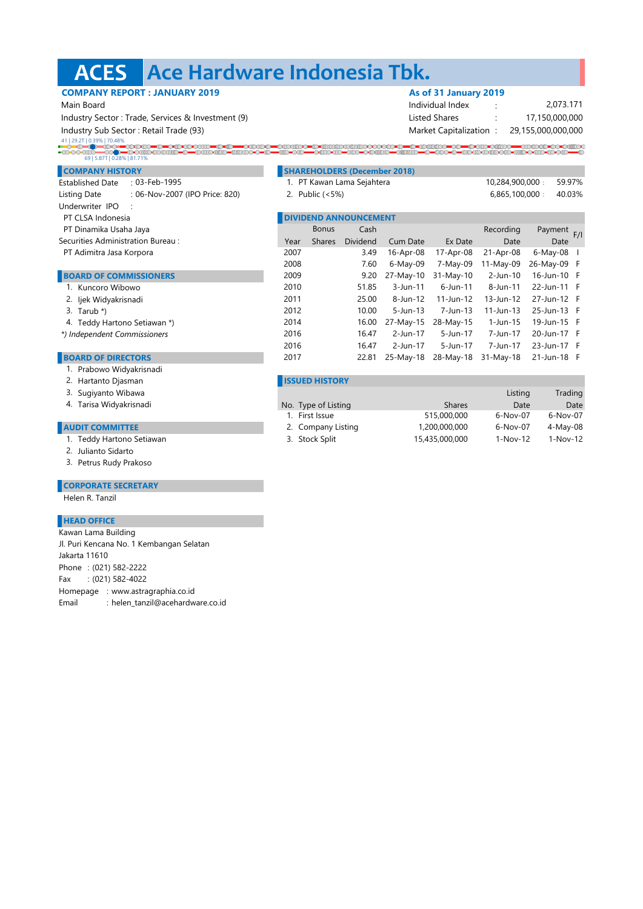## **ACES Ace Hardware Indonesia Tbk.**

**COMPANY REPORT : JANUARY 2019 As of 31 January 2019** 

| Main Board                                        |                              |                            |                                     |                 | Individual Index       |                 | 2,073.171          |  |
|---------------------------------------------------|------------------------------|----------------------------|-------------------------------------|-----------------|------------------------|-----------------|--------------------|--|
| Industry Sector: Trade, Services & Investment (9) |                              |                            |                                     |                 | <b>Listed Shares</b>   |                 | 17,150,000,000     |  |
| Industry Sub Sector: Retail Trade (93)            |                              |                            |                                     |                 | Market Capitalization: |                 | 29,155,000,000,000 |  |
| 41   29.2T   0.39%   70.48%                       |                              |                            |                                     |                 |                        |                 |                    |  |
| 69   5.87T   0.28%   81.71%                       |                              |                            |                                     |                 |                        |                 |                    |  |
| <b>COMPANY HISTORY</b>                            |                              |                            | <b>SHAREHOLDERS (December 2018)</b> |                 |                        |                 |                    |  |
| <b>Established Date</b><br>: 03-Feb-1995          |                              | 1. PT Kawan Lama Sejahtera |                                     |                 |                        | 10,284,900,000: | 59.97%             |  |
| : 06-Nov-2007 (IPO Price: 820)<br>Listing Date    |                              | 2. Public (<5%)            |                                     |                 |                        | 6,865,100,000:  | 40.03%             |  |
| Underwriter IPO                                   |                              |                            |                                     |                 |                        |                 |                    |  |
| PT CLSA Indonesia                                 | <b>DIVIDEND ANNOUNCEMENT</b> |                            |                                     |                 |                        |                 |                    |  |
| PT Dinamika Usaha Jaya                            |                              | <b>Bonus</b>               | Cash                                |                 |                        | Recording       | Payment F/I        |  |
| Securities Administration Bureau:                 | Year                         | <b>Shares</b>              | <b>Dividend</b>                     | <b>Cum Date</b> | Ex Date                | Date            | Date               |  |
| PT Adimitra Jasa Korpora                          | 2007                         |                            | 3.49                                | 16-Apr-08       | 17-Apr-08              | 21-Apr-08       | 6-May-08           |  |
|                                                   | 2008                         |                            | 7.60                                | 6-May-09        | 7-May-09               | $11-May-09$     | 26-May-09 F        |  |
| <b>BOARD OF COMMISSIONERS</b>                     | 2009                         |                            | 9.20                                | 27-May-10       | 31-May-10              | 2-Jun-10        | 16-Jun-10 F        |  |
| 1. Kuncoro Wibowo                                 | 2010                         |                            | 51.85                               | $3$ -Jun-11     | $6$ -Jun-11            | 8-Jun-11        | 22-Jun-11 F        |  |
| 2. Ijek Widyakrisnadi                             | 2011                         |                            | 25.00                               | 8-Jun-12        | 11-Jun-12              | 13-Jun-12       | 27-Jun-12 F        |  |
| 3. Tarub $*$ )                                    | 2012                         |                            | 10.00                               | $5 - Jun - 13$  | 7-Jun-13               | $11 - Jun - 13$ | 25-Jun-13 F        |  |
| 4. Teddy Hartono Setiawan *)                      | 2014                         |                            | 16.00                               | 27-May-15       | 28-May-15              | 1-Jun-15        | 19-Jun-15 F        |  |
| *) Independent Commissioners                      | 2016                         |                            | 16.47                               | 2-Jun-17        | 5-Jun-17               | 7-Jun-17        | 20-Jun-17 F        |  |
|                                                   | 2016                         |                            | 16.47                               | 2-Jun-17        | 5-Jun-17               | 7-Jun-17        | 23-Jun-17 F        |  |
| <b>BOARD OF DIRECTORS</b>                         | 2017                         |                            | 22.81                               | 25-May-18       | 28-May-18              | $31-Mav-18$     | 21-Jun-18 F        |  |
| 1. Prabowo Widyakrisnadi                          |                              |                            |                                     |                 |                        |                 |                    |  |
| 2. Hartanto Djasman                               |                              | <b>ISSUED HISTORY</b>      |                                     |                 |                        |                 |                    |  |
|                                                   |                              |                            |                                     |                 |                        |                 |                    |  |

- .<br>3. Sugiyanto Wibawa Listing Trading Sugar Sugar Sugar Sugar Sugar Sugar Sugar Sugar Sugar Sugar Sugar Sugar Su Tarisa Widyakrisnadi Type of Listing Date Date 4. No. Type of Listing **No. 7 Shares** 1. First Issue 515,000,000 6-Nov-07 6-Nov-07 2. Company Listing 1,200,000,000 6-Nov-07 4-May-08 3. Stock Split 15,435,000,000 1-Nov-12 1-Nov-12
- **AUDIT COMMITTEE**
	- 1. Teddy Hartono Setiawan
	- 2. Julianto Sidarto
	- 3. Petrus Rudy Prakoso

## **CORPORATE SECRETARY**

Helen R. Tanzil

## **HEAD OFFICE**

| Kawan Lama Building                       |  |  |  |  |  |  |  |
|-------------------------------------------|--|--|--|--|--|--|--|
| Jl. Puri Kencana No. 1 Kembangan Selatan  |  |  |  |  |  |  |  |
| Jakarta 11610                             |  |  |  |  |  |  |  |
| Phone: (021) 582-2222                     |  |  |  |  |  |  |  |
| Fax: (021) 582-4022                       |  |  |  |  |  |  |  |
| Homepage : www.astragraphia.co.id         |  |  |  |  |  |  |  |
| : helen_tanzil@acehardware.co.id<br>Email |  |  |  |  |  |  |  |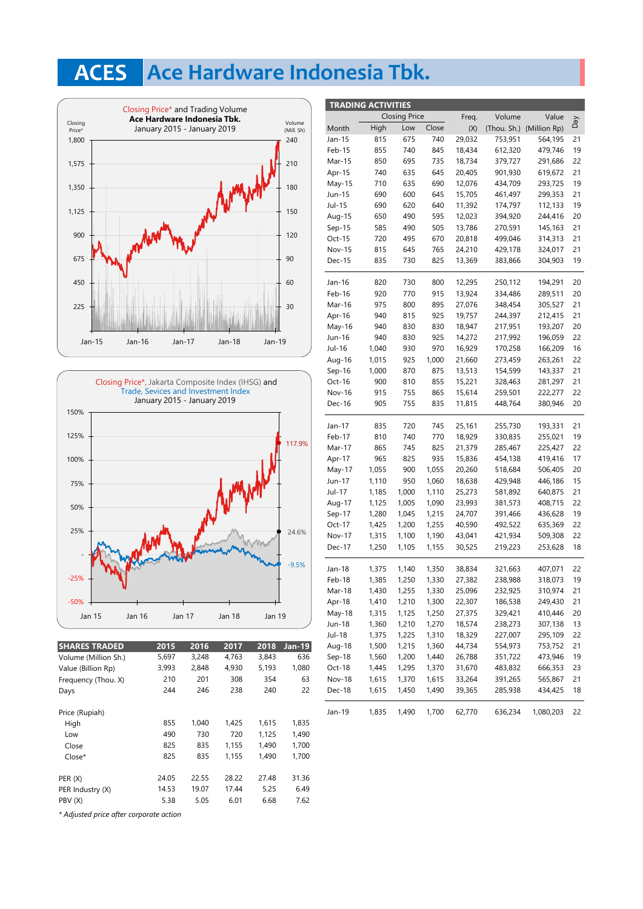# **ACES Ace Hardware Indonesia Tbk.**





| <b>SHARES TRADED</b>                    | 2015  | 2016  | 2017  | 2018  | <b>Jan-19</b> |  |  |
|-----------------------------------------|-------|-------|-------|-------|---------------|--|--|
| Volume (Million Sh.)                    | 5,697 | 3,248 | 4,763 | 3,843 | 636           |  |  |
| Value (Billion Rp)                      | 3,993 | 2,848 | 4,930 | 5,193 | 1,080         |  |  |
| Frequency (Thou. X)                     | 210   | 201   | 308   | 354   | 63            |  |  |
| Days                                    | 244   | 246   | 238   | 240   | 22            |  |  |
| Price (Rupiah)                          |       |       |       |       |               |  |  |
| High                                    | 855   | 1.040 | 1.425 | 1.615 | 1,835         |  |  |
| Low                                     | 490   | 730   | 720   | 1,125 | 1,490         |  |  |
| Close                                   | 825   | 835   | 1,155 | 1,490 | 1,700         |  |  |
| $Close*$                                | 825   | 835   | 1.155 | 1.490 | 1,700         |  |  |
| PER(X)                                  | 24.05 | 22.55 | 28.22 | 27.48 | 31.36         |  |  |
| PER Industry (X)                        | 14.53 | 19.07 | 17.44 | 5.25  | 6.49          |  |  |
| PBV (X)                                 | 5.38  | 5.05  | 6.01  | 6.68  | 7.62          |  |  |
| * Adjusted price after corporate action |       |       |       |       |               |  |  |

|                      | <b>TRADING ACTIVITIES</b> |       |        |        |         |                          |     |
|----------------------|---------------------------|-------|--------|--------|---------|--------------------------|-----|
| <b>Closing Price</b> |                           | Freq. | Volume | Value  |         |                          |     |
| Month                | High                      | Low   | Close  | (X)    |         | (Thou. Sh.) (Million Rp) | VeQ |
| Jan-15               | 815                       | 675   | 740    | 29,032 | 753,951 | 564,195                  | 21  |
| Feb-15               | 855                       | 740   | 845    | 18,434 | 612,320 | 479,746                  | 19  |
| Mar-15               | 850                       | 695   | 735    | 18,734 | 379,727 | 291,686                  | 22  |
| Apr-15               | 740                       | 635   | 645    | 20,405 | 901,930 | 619,672                  | 21  |
| May-15               | 710                       | 635   | 690    | 12,076 | 434,709 | 293,725                  | 19  |
| Jun-15               | 690                       | 600   | 645    | 15,705 | 461,497 | 299,353                  | 21  |
| Jul-15               | 690                       | 620   | 640    | 11,392 | 174,797 | 112,133                  | 19  |
| Aug-15               | 650                       | 490   | 595    | 12,023 | 394,920 | 244,416                  | 20  |
| $Sep-15$             | 585                       | 490   | 505    | 13,786 | 270,591 | 145,163                  | 21  |
| Oct-15               | 720                       | 495   | 670    | 20,818 | 499,046 | 314,313                  | 21  |
| <b>Nov-15</b>        | 815                       | 645   | 765    | 24,210 | 429,178 | 324,017                  | 21  |
| Dec-15               | 835                       | 730   | 825    | 13,369 | 383,866 | 304,903                  | 19  |
|                      |                           |       |        |        |         |                          |     |
| Jan-16               | 820                       | 730   | 800    | 12,295 | 250,112 | 194,291                  | 20  |
| Feb-16               | 920                       | 770   | 915    | 13,924 | 334,486 | 289,511                  | 20  |
| Mar-16               | 975                       | 800   | 895    | 27,076 | 348,454 | 305,527                  | 21  |
| Apr-16               | 940                       | 815   | 925    | 19,757 | 244,397 | 212,415                  | 21  |
| May-16               | 940                       | 830   | 830    | 18,947 | 217,951 | 193,207                  | 20  |
| Jun-16               | 940                       | 830   | 925    | 14,272 | 217,992 | 196,059                  | 22  |
| Jul-16               | 1,040                     | 930   | 970    | 16,929 | 170,258 | 166,209                  | 16  |
| Aug-16               | 1,015                     | 925   | 1,000  | 21,660 | 273,459 | 263,261                  | 22  |
| $Sep-16$             | 1,000                     | 870   | 875    | 13,513 | 154,599 | 143,337                  | 21  |
| Oct-16               | 900                       | 810   | 855    | 15,221 | 328,463 | 281,297                  | 21  |
| Nov-16               | 915                       | 755   | 865    | 15,614 | 259,501 | 222,277                  | 22  |
| Dec-16               | 905                       | 755   | 835    | 11,815 | 448,764 | 380,946                  | 20  |
|                      |                           |       |        |        |         |                          |     |
| Jan-17               | 835                       | 720   | 745    | 25,161 | 255,730 | 193,331                  | 21  |
| Feb-17               | 810                       | 740   | 770    | 18,929 | 330,835 | 255,021                  | 19  |
| Mar-17               | 865                       | 745   | 825    | 21,379 | 285,467 | 225,427                  | 22  |
| Apr-17               | 965                       | 825   | 935    | 15,836 | 454,138 | 419,416                  | 17  |
| May-17               | 1,055                     | 900   | 1,055  | 20,260 | 518,684 | 506,405                  | 20  |
| Jun-17               | 1,110                     | 950   | 1,060  | 18,638 | 429,948 | 446,186                  | 15  |
| Jul-17               | 1,185                     | 1,000 | 1,110  | 25,273 | 581,892 | 640,875                  | 21  |
| Aug-17               | 1,125                     | 1,005 | 1,090  | 23,993 | 381,573 | 408,715                  | 22  |
| Sep-17               | 1,280                     | 1,045 | 1,215  | 24,707 | 391,466 | 436,628                  | 19  |
| Oct-17               | 1,425                     | 1,200 | 1,255  | 40,590 | 492,522 | 635,369                  | 22  |
| <b>Nov-17</b>        | 1,315                     | 1,100 | 1,190  | 43,041 | 421,934 | 509,308                  | 22  |
| Dec-17               | 1,250                     | 1,105 | 1,155  | 30,525 | 219,223 | 253,628                  | 18  |
| Jan-18               | 1,375                     | 1,140 | 1,350  | 38,834 | 321,663 | 407,071                  | 22  |
| Feb-18               | 1,385                     | 1,250 | 1,330  | 27,382 | 238,988 | 318,073                  | 19  |
| Mar-18               | 1,430                     | 1,255 | 1,330  | 25,096 | 232,925 | 310,974                  | 21  |
| Apr-18               | 1,410                     | 1,210 | 1,300  | 22,307 | 186,538 | 249,430                  | 21  |
| May-18               | 1,315                     | 1,125 | 1,250  | 27,375 | 329,421 | 410,446                  | 20  |
| Jun-18               |                           | 1,210 | 1,270  | 18,574 | 238,273 | 307,138                  | 13  |
| Jul-18               | 1,360<br>1,375            | 1,225 | 1,310  | 18,329 | 227,007 | 295,109                  | 22  |
| Aug-18               | 1,500                     | 1,215 | 1,360  | 44,734 | 554,973 | 753,752                  | 21  |
| Sep-18               | 1,560                     | 1,200 | 1,440  | 26,788 | 351,722 | 473,946                  | 19  |
| Oct-18               | 1,445                     | 1,295 | 1,370  | 31,670 | 483,832 | 666,353                  | 23  |
| Nov-18               | 1,615                     | 1,370 | 1,615  | 33,264 | 391,265 | 565,867                  | 21  |
| Dec-18               | 1,615                     | 1,450 | 1,490  | 39,365 | 285,938 | 434,425                  | 18  |
|                      |                           |       |        |        |         |                          |     |
| Jan-19               | 1,835                     | 1,490 | 1,700  | 62,770 | 636,234 | 1,080,203                | 22  |